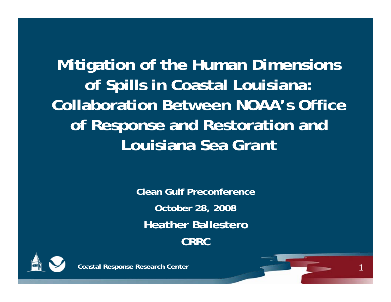**Mitigation of the Human Dimensions of Spills in Coastal Louisiana: Collaboration Between NOAA's Office of Response and Restoration and Louisiana Sea Grant**

> **Clean Gulf Preconference October 28, 2008 Heather BallesteroCRRC**

> > 1



**Coastal Response Research Center**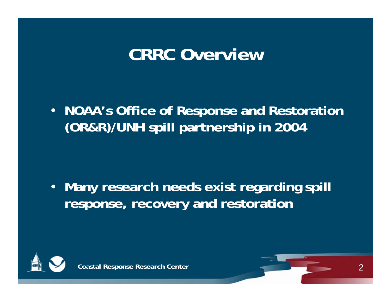#### **CRRC Overview**

• **NOAA's Office of Response and Restoration (OR&R)/UNH spill partnership in 2004**

• **Many research needs exist regarding spill response, recovery and restoration**

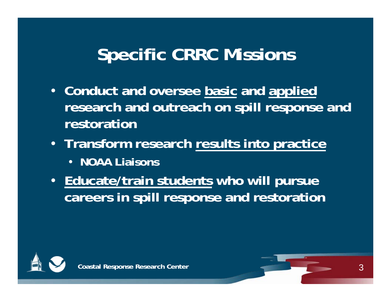## **Specific CRRC Missions**

- **Conduct and oversee basic and applied research and outreach on spill response and restoration**
- **Transform research results into practice** • **NOAA Liaisons**
- **Educate/train students who will pursue careers in spill response and restoration**

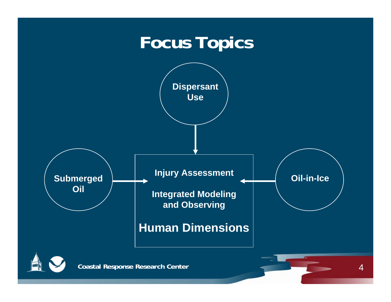#### **Focus Topics**



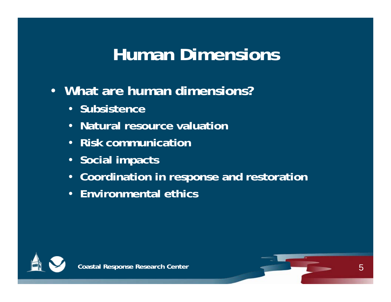## **Human Dimensions**

- **What are human dimensions?**
	- **Subsistence**
	- **Natural resource valuation**
	- **Risk communication**
	- **Social impacts**
	- **Coordination in response and restoration**
	- **Environmental ethics**

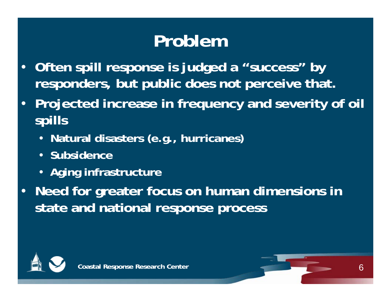## **Problem**

- **Often spill response is judged a "success" by responders, but public does not perceive that.**
- **Projected increase in frequency and severity of oil spills** 
	- **Natural disasters (e.g., hurricanes)**
	- **Subsidence**
	- **Aging infrastructure**
- **Need for greater focus on human dimensions in state and national response process**

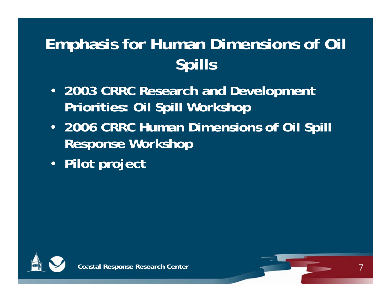#### **Emphasis for Human Dimensions of Oil Spills**

- **2003 CRRC Research and Development Priorities: Oil Spill Workshop**
- **2006 CRRC Human Dimensions of Oil Spill Response Workshop**

7

• **Pilot project**

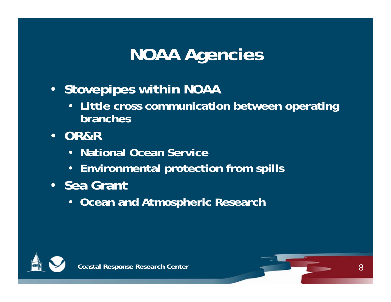## **NOAA Agencies**

- **Stovepipes within NOAA**
	- **Little cross communication between operating branches**
- **OR&R**
	- **National Ocean Service**
	- **Environmental protection from spills**
- **Sea Grant**
	- **Ocean and Atmospheric Research**

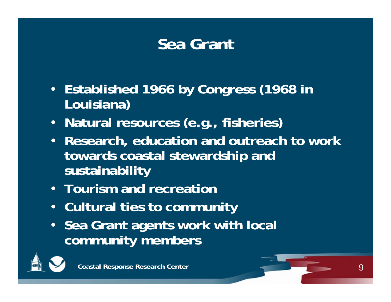#### **Sea Grant**

- **Established 1966 by Congress (1968 in Louisiana)**
- **Natural resources (e.g., fisheries)**
- **Research, education and outreach to work towards coastal stewardship and sustainability**
- **Tourism and recreation**
- **Cultural ties to community**
- **Sea Grant agents work with local community members**

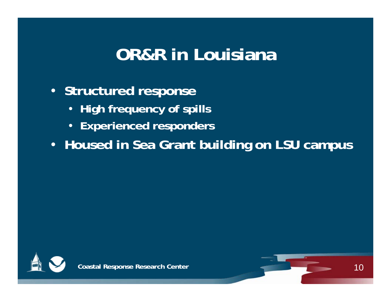### **OR&R in Louisiana**

- **Structured response**
	- **High frequency of spills**
	- **Experienced responders**
- **Housed in Sea Grant building on LSU campus**

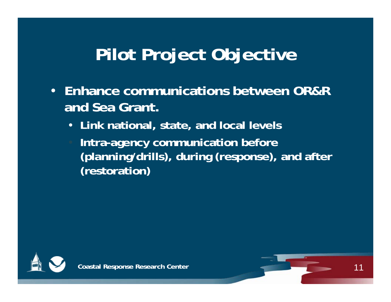## **Pilot Project Objective**

- **Enhance communications between OR&R and Sea Grant.** 
	- **Link national, state, and local levels**
	- **Intra-agency communication before (planning/drills), during (response), and after (restoration)**

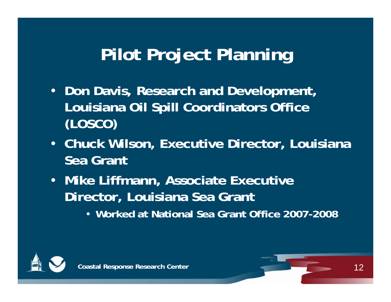## **Pilot Project Planning**

- **Don Davis, Research and Development, Louisiana Oil Spill Coordinators Office (LOSCO)**
- **Chuck Wilson, Executive Director, Louisiana Sea Grant**
- **Mike Liffmann, Associate Executive Director, Louisiana Sea Grant**
	- **Worked at National Sea Grant Office 2007-2008**

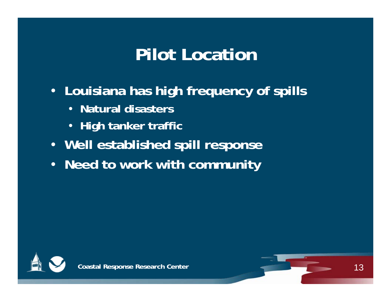### **Pilot Location**

- **Louisiana has high frequency of spills**
	- **Natural disasters**
	- **High tanker traffic**
- **Well established spill response**
- **Need to work with community**

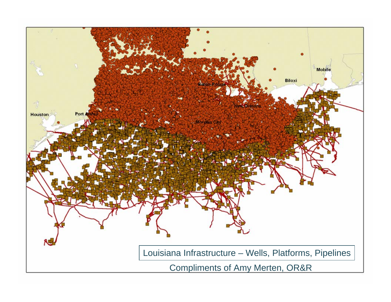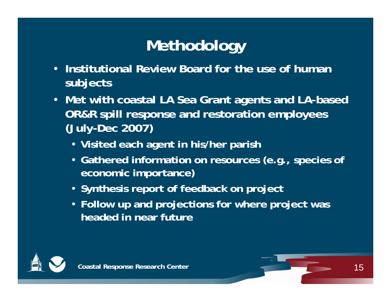#### **Methodology**

- **Institutional Review Board for the use of human subjects**
- **Met with coastal LA Sea Grant agents and LA-based OR&R spill response and restoration employees (July-Dec 2007)**
	- **Visited each agent in his/her parish**
	- **Gathered information on resources (e.g., species of economic importance)**
	- **Synthesis report of feedback on project**
	- **Follow up and projections for where project was headed in near future**

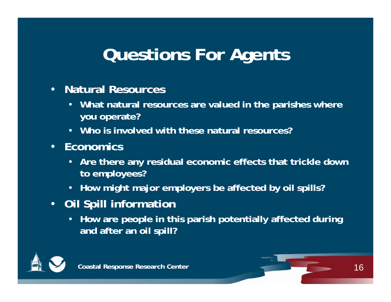## **Questions For Agents**

- **Natural Resources**
	- **What natural resources are valued in the parishes where you operate?**
	- **Who is involved with these natural resources?**
- **Economics**
	- **Are there any residual economic effects that trickle down to employees?**
	- **How might major employers be affected by oil spills?**
- **Oil Spill information**
	- **How are people in this parish potentially affected during and after an oil spill?**

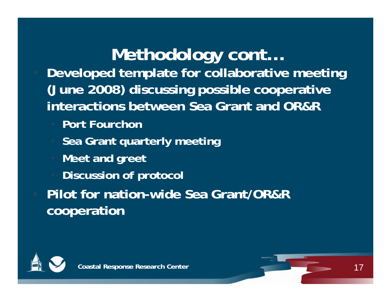### **Methodology cont…**

• **Developed template for collaborative meeting (June 2008) discussing possible cooperative interactions between Sea Grant and OR&R**

- **Port Fourchon**
- **Sea Grant quarterly meeting**
- **Meet and greet**
- **Discussion of protocol**

• **Pilot for nation-wide Sea Grant/OR&R cooperation** 

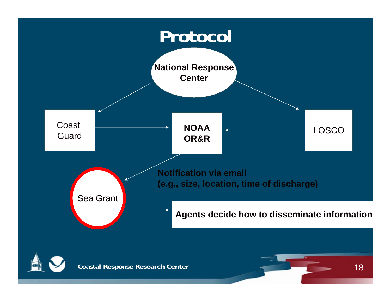

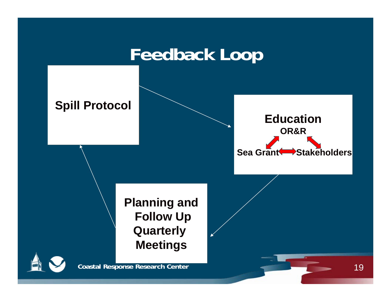#### **Feedback Loop**

#### **Spill Protocol**



**Planning and Follow Up Quarterly Meetings**

**Coastal Response Research Center** 

19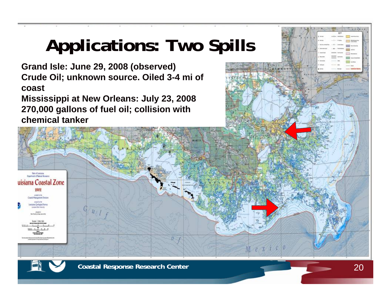# **Applications: Two Spills**

- **Grand Isle: June 29, 2008 (observed) Crude Oil; unknown source. Oiled 3-4 mi of coast**
- **Mississippi at New Orleans: July 23, 2008 270,000 gallons of fuel oil; collision with chemical tanker**



*<u>Deamed d'Natal Roman</u>* uisiana Coastal Zone 2002 amples: Le N **Coatal Mateamers** Division nana Gologial Neve **GALSALINHO** 

 $-400000$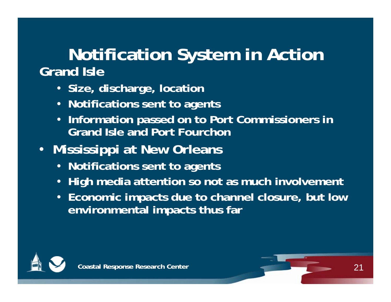#### **Notification System in Action Grand Isle**

- **Size, discharge, location**
- **Notifications sent to agents**
- **Information passed on to Port Commissioners in Grand Isle and Port Fourchon**
- **Mississippi at New Orleans** 
	- **Notifications sent to agents**
	- **High media attention so not as much involvement**
	- **Economic impacts due to channel closure, but low environmental impacts thus far**